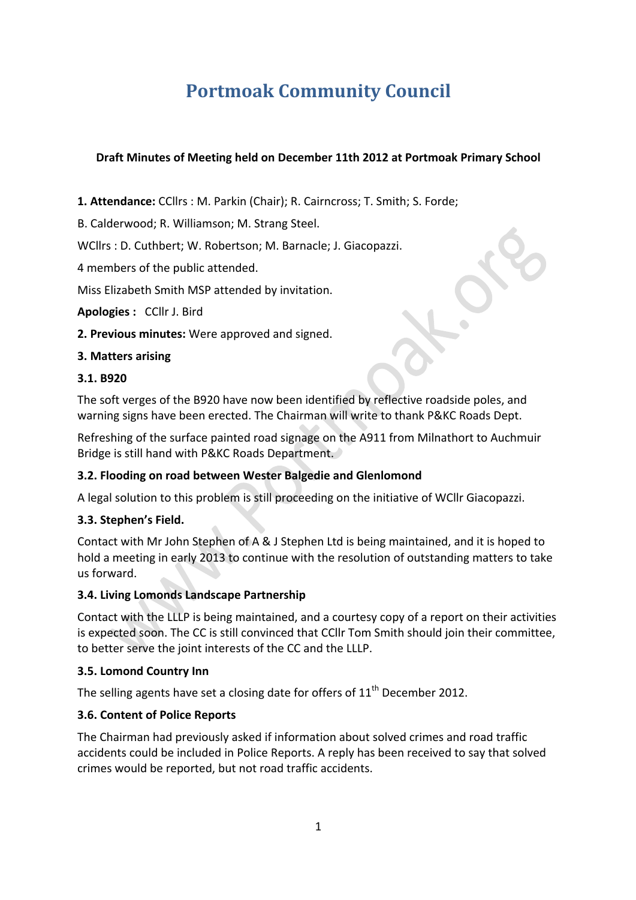# **Portmoak Community Council**

## **Draft Minutes of Meeting held on December 11th 2012 at Portmoak Primary School**

**1. Attendance:** CCllrs : M. Parkin (Chair); R. Cairncross; T. Smith; S. Forde;

B. Calderwood; R. Williamson; M. Strang Steel.

WCllrs : D. Cuthbert; W. Robertson; M. Barnacle; J. Giacopazzi.

4 members of the public attended.

Miss Elizabeth Smith MSP attended by invitation.

**Apologies: CCllr J. Bird** 

**2. Previous minutes:** Were approved and signed.

#### **3. Matters arising**

#### **3.1. B920**

The soft verges of the B920 have now been identified by reflective roadside poles, and warning signs have been erected. The Chairman will write to thank P&KC Roads Dept.

Refreshing of the surface painted road signage on the A911 from Milnathort to Auchmuir Bridge is still hand with P&KC Roads Department.

## **3.2. Flooding on road between Wester Balgedie and Glenlomond**

A legal solution to this problem is still proceeding on the initiative of WCllr Giacopazzi.

## **3.3. Stephen's Field.**

Contact with Mr John Stephen of A & J Stephen Ltd is being maintained, and it is hoped to hold a meeting in early 2013 to continue with the resolution of outstanding matters to take us forward.

#### **3.4. Living Lomonds Landscape Partnership**

Contact with the LLLP is being maintained, and a courtesy copy of a report on their activities is expected soon. The CC is still convinced that CCllr Tom Smith should join their committee, to better serve the joint interests of the CC and the LLLP.

#### **3.5. Lomond Country Inn**

The selling agents have set a closing date for offers of  $11<sup>th</sup>$  December 2012.

#### **3.6. Content of Police Reports**

The Chairman had previously asked if information about solved crimes and road traffic accidents could be included in Police Reports. A reply has been received to say that solved crimes would be reported, but not road traffic accidents.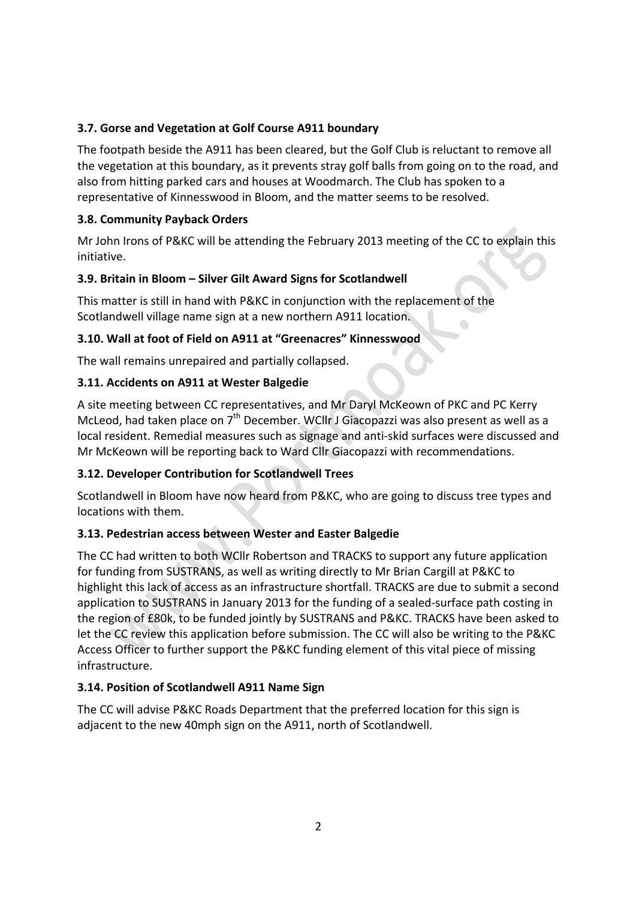## **3.7.** Gorse and Vegetation at Golf Course A911 boundary

The footpath beside the A911 has been cleared, but the Golf Club is reluctant to remove all the vegetation at this boundary, as it prevents stray golf balls from going on to the road, and also from hitting parked cars and houses at Woodmarch. The Club has spoken to a representative of Kinnesswood in Bloom, and the matter seems to be resolved.

## **3.8. Community Payback Orders**

Mr John Irons of P&KC will be attending the February 2013 meeting of the CC to explain this initiative.

## **3.9. Britain in Bloom – Silver Gilt Award Signs for Scotlandwell**

This matter is still in hand with P&KC in conjunction with the replacement of the Scotlandwell village name sign at a new northern A911 location.

## **3.10. Wall at foot of Field on A911 at "Greenacres" Kinnesswood**

The wall remains unrepaired and partially collapsed.

## **3.11. Accidents on A911 at Wester Balgedie**

A site meeting between CC representatives, and Mr Daryl McKeown of PKC and PC Kerry McLeod, had taken place on  $7<sup>th</sup>$  December. WCllr J Giacopazzi was also present as well as a local resident. Remedial measures such as signage and anti-skid surfaces were discussed and Mr McKeown will be reporting back to Ward Cllr Giacopazzi with recommendations.

## **3.12. Developer Contribution for Scotlandwell Trees**

Scotlandwell in Bloom have now heard from P&KC, who are going to discuss tree types and locations with them.

# **3.13. Pedestrian access between Wester and Easter Balgedie**

The CC had written to both WCllr Robertson and TRACKS to support any future application for funding from SUSTRANS, as well as writing directly to Mr Brian Cargill at P&KC to highlight this lack of access as an infrastructure shortfall. TRACKS are due to submit a second application to SUSTRANS in January 2013 for the funding of a sealed-surface path costing in the region of £80k, to be funded jointly by SUSTRANS and P&KC. TRACKS have been asked to let the CC review this application before submission. The CC will also be writing to the P&KC Access Officer to further support the P&KC funding element of this vital piece of missing infrastructure.

## **3.14. Position of Scotlandwell A911 Name Sign**

The CC will advise P&KC Roads Department that the preferred location for this sign is adjacent to the new 40mph sign on the A911, north of Scotlandwell.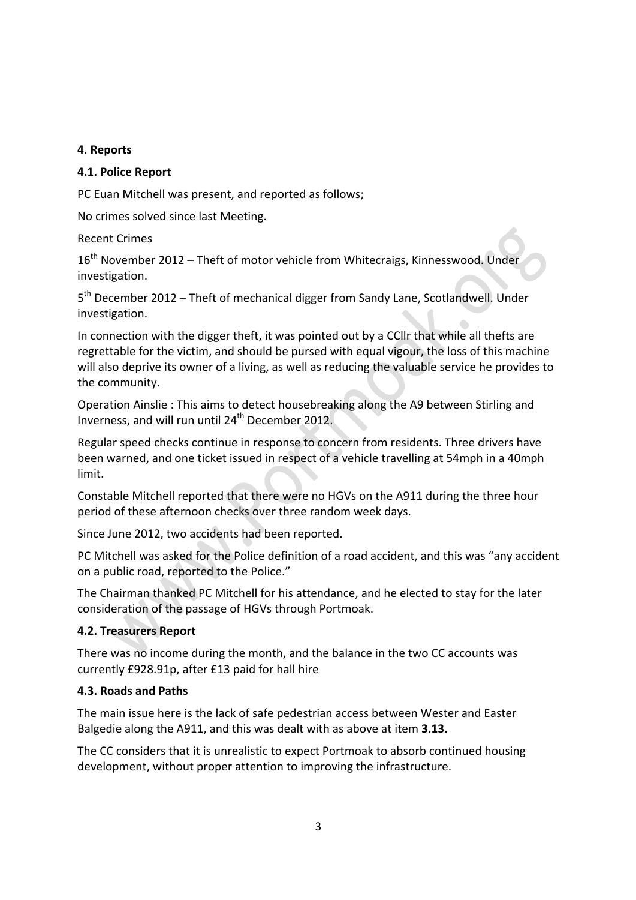## **4. Reports**

## **4.1. Police Report**

PC Euan Mitchell was present, and reported as follows:

No crimes solved since last Meeting.

Recent Crimes

16<sup>th</sup> November 2012 – Theft of motor vehicle from Whitecraigs, Kinnesswood. Under investigation.

 $5<sup>th</sup>$  December 2012 – Theft of mechanical digger from Sandy Lane, Scotlandwell. Under investigation.

In connection with the digger theft, it was pointed out by a CClI that while all thefts are regrettable for the victim, and should be pursed with equal vigour, the loss of this machine will also deprive its owner of a living, as well as reducing the valuable service he provides to the community.

Operation Ainslie: This aims to detect housebreaking along the A9 between Stirling and Inverness, and will run until  $24^{th}$  December 2012.

Regular speed checks continue in response to concern from residents. Three drivers have been warned, and one ticket issued in respect of a vehicle travelling at 54mph in a 40mph limit.

Constable Mitchell reported that there were no HGVs on the A911 during the three hour period of these afternoon checks over three random week days.

Since June 2012, two accidents had been reported.

PC Mitchell was asked for the Police definition of a road accident, and this was "any accident on a public road, reported to the Police."

The Chairman thanked PC Mitchell for his attendance, and he elected to stay for the later consideration of the passage of HGVs through Portmoak.

#### **4.2. Treasurers Report**

There was no income during the month, and the balance in the two CC accounts was currently £928.91p, after £13 paid for hall hire

#### **4.3. Roads and Paths**

The main issue here is the lack of safe pedestrian access between Wester and Easter Balgedie along the A911, and this was dealt with as above at item 3.13.

The CC considers that it is unrealistic to expect Portmoak to absorb continued housing development, without proper attention to improving the infrastructure.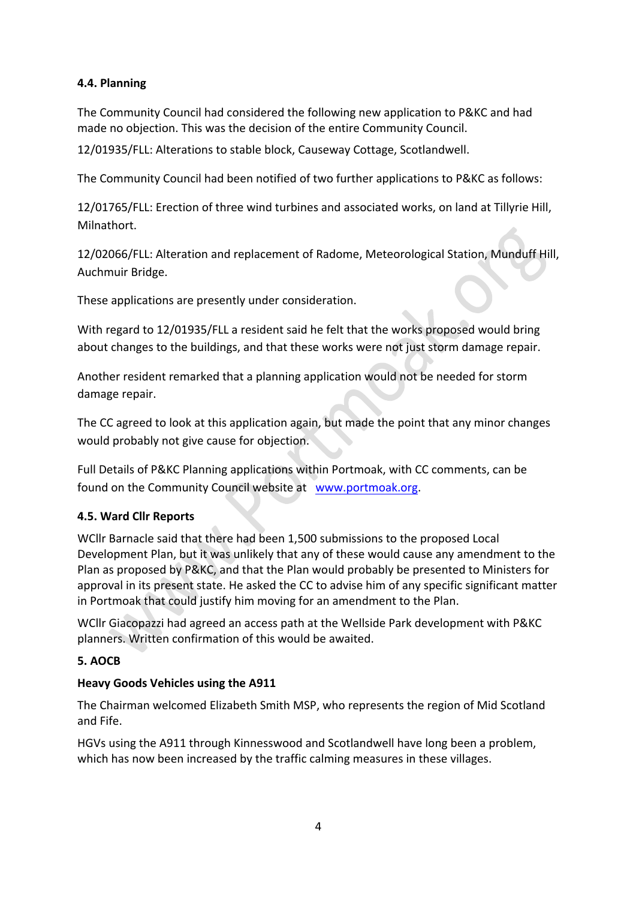## **4.4. Planning**

The Community Council had considered the following new application to P&KC and had made no objection. This was the decision of the entire Community Council.

12/01935/FLL: Alterations to stable block, Causeway Cottage, Scotlandwell.

The Community Council had been notified of two further applications to P&KC as follows:

12/01765/FLL: Erection of three wind turbines and associated works, on land at Tillyrie Hill, Milnathort.

12/02066/FLL: Alteration and replacement of Radome, Meteorological Station, Munduff Hill, Auchmuir Bridge.

These applications are presently under consideration.

With regard to 12/01935/FLL a resident said he felt that the works proposed would bring about changes to the buildings, and that these works were not just storm damage repair.

Another resident remarked that a planning application would not be needed for storm damage repair.

The CC agreed to look at this application again, but made the point that any minor changes would probably not give cause for objection.

Full Details of P&KC Planning applications within Portmoak, with CC comments, can be found on the Community Council website at www.portmoak.org.

# **4.5. Ward Cllr Reports**

WCllr Barnacle said that there had been 1,500 submissions to the proposed Local Development Plan, but it was unlikely that any of these would cause any amendment to the Plan as proposed by P&KC, and that the Plan would probably be presented to Ministers for approval in its present state. He asked the CC to advise him of any specific significant matter in Portmoak that could justify him moving for an amendment to the Plan.

WCllr Giacopazzi had agreed an access path at the Wellside Park development with P&KC planners. Written confirmation of this would be awaited.

## **5. AOCB**

## **Heavy Goods Vehicles using the A911**

The Chairman welcomed Elizabeth Smith MSP, who represents the region of Mid Scotland and Fife.

HGVs using the A911 through Kinnesswood and Scotlandwell have long been a problem, which has now been increased by the traffic calming measures in these villages.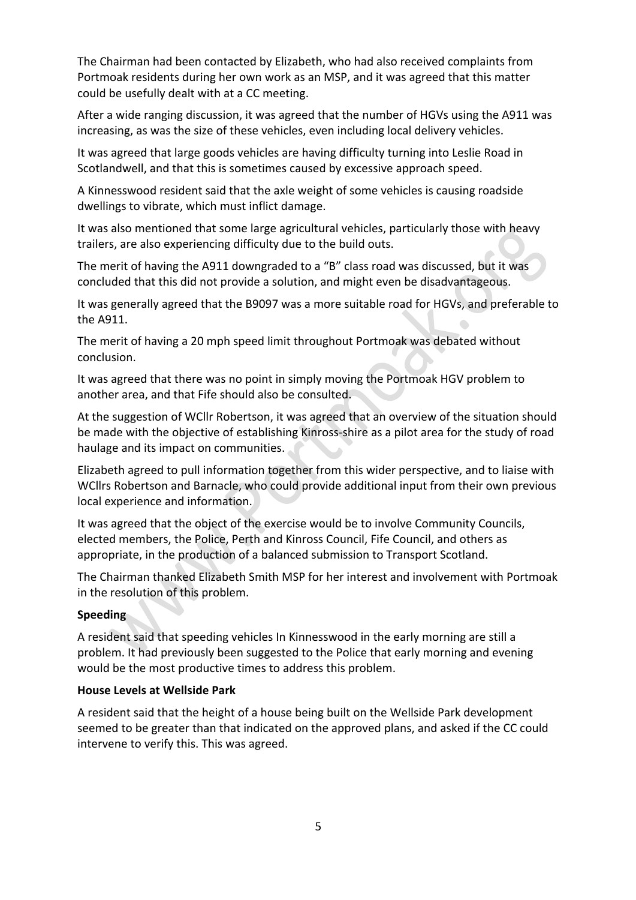The Chairman had been contacted by Elizabeth, who had also received complaints from Portmoak residents during her own work as an MSP, and it was agreed that this matter could be usefully dealt with at a CC meeting.

After a wide ranging discussion, it was agreed that the number of HGVs using the A911 was increasing, as was the size of these vehicles, even including local delivery vehicles.

It was agreed that large goods vehicles are having difficulty turning into Leslie Road in Scotlandwell, and that this is sometimes caused by excessive approach speed.

A Kinnesswood resident said that the axle weight of some vehicles is causing roadside dwellings to vibrate, which must inflict damage.

It was also mentioned that some large agricultural vehicles, particularly those with heavy trailers, are also experiencing difficulty due to the build outs.

The merit of having the A911 downgraded to a "B" class road was discussed, but it was concluded that this did not provide a solution, and might even be disadvantageous.

It was generally agreed that the B9097 was a more suitable road for HGVs, and preferable to the A911.

The merit of having a 20 mph speed limit throughout Portmoak was debated without conclusion.

It was agreed that there was no point in simply moving the Portmoak HGV problem to another area, and that Fife should also be consulted.

At the suggestion of WCllr Robertson, it was agreed that an overview of the situation should be made with the objective of establishing Kinross-shire as a pilot area for the study of road haulage and its impact on communities.

Elizabeth agreed to pull information together from this wider perspective, and to liaise with WCllrs Robertson and Barnacle, who could provide additional input from their own previous local experience and information.

It was agreed that the object of the exercise would be to involve Community Councils, elected members, the Police, Perth and Kinross Council, Fife Council, and others as appropriate, in the production of a balanced submission to Transport Scotland.

The Chairman thanked Elizabeth Smith MSP for her interest and involvement with Portmoak in the resolution of this problem.

## **Speeding**

A resident said that speeding vehicles In Kinnesswood in the early morning are still a problem. It had previously been suggested to the Police that early morning and evening would be the most productive times to address this problem.

#### **House Levels at Wellside Park**

A resident said that the height of a house being built on the Wellside Park development seemed to be greater than that indicated on the approved plans, and asked if the CC could intervene to verify this. This was agreed.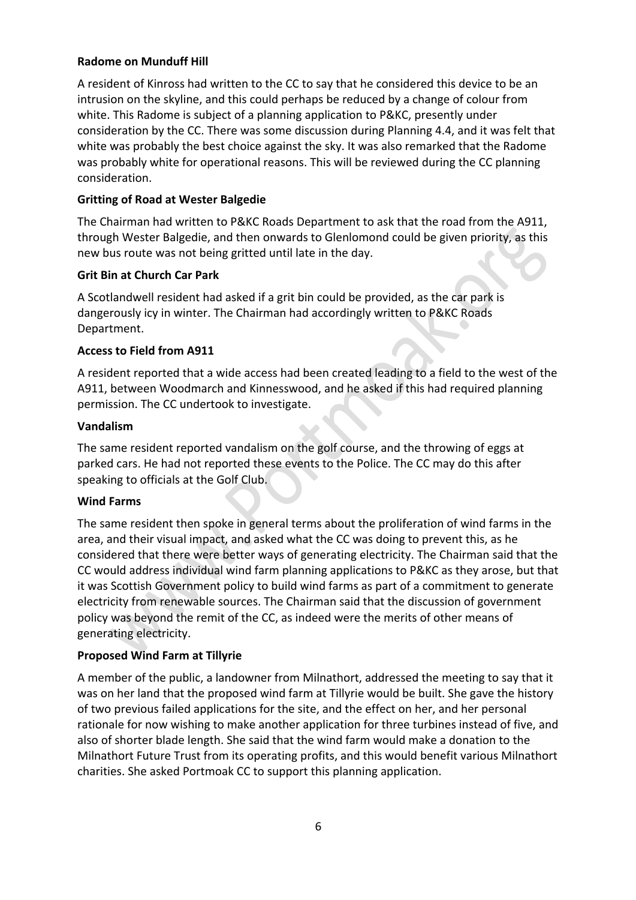## **Radome on Munduff Hill**

A resident of Kinross had written to the CC to say that he considered this device to be an intrusion on the skyline, and this could perhaps be reduced by a change of colour from white. This Radome is subject of a planning application to P&KC, presently under consideration by the CC. There was some discussion during Planning 4.4, and it was felt that white was probably the best choice against the sky. It was also remarked that the Radome was probably white for operational reasons. This will be reviewed during the CC planning consideration.

## **Gritting of Road at Wester Balgedie**

The Chairman had written to P&KC Roads Department to ask that the road from the A911, through Wester Balgedie, and then onwards to Glenlomond could be given priority, as this new bus route was not being gritted until late in the day.

#### **Grit Bin at Church Car Park**

A Scotlandwell resident had asked if a grit bin could be provided, as the car park is dangerously icy in winter. The Chairman had accordingly written to P&KC Roads Department.

#### **Access to Field from A911**

A resident reported that a wide access had been created leading to a field to the west of the A911, between Woodmarch and Kinnesswood, and he asked if this had required planning permission. The CC undertook to investigate.

#### **Vandalism**

The same resident reported vandalism on the golf course, and the throwing of eggs at parked cars. He had not reported these events to the Police. The CC may do this after speaking to officials at the Golf Club.

#### **Wind Farms**

The same resident then spoke in general terms about the proliferation of wind farms in the area, and their visual impact, and asked what the CC was doing to prevent this, as he considered that there were better ways of generating electricity. The Chairman said that the CC would address individual wind farm planning applications to P&KC as they arose, but that it was Scottish Government policy to build wind farms as part of a commitment to generate electricity from renewable sources. The Chairman said that the discussion of government policy was beyond the remit of the CC, as indeed were the merits of other means of generating electricity. 

## **Proposed Wind Farm at Tillyrie**

A member of the public, a landowner from Milnathort, addressed the meeting to say that it was on her land that the proposed wind farm at Tillyrie would be built. She gave the history of two previous failed applications for the site, and the effect on her, and her personal rationale for now wishing to make another application for three turbines instead of five, and also of shorter blade length. She said that the wind farm would make a donation to the Milnathort Future Trust from its operating profits, and this would benefit various Milnathort charities. She asked Portmoak CC to support this planning application.